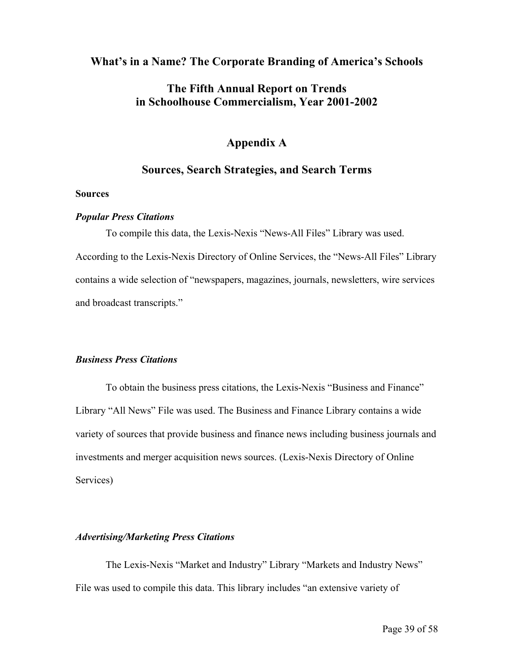# **What's in a Name? The Corporate Branding of America's Schools**

# **The Fifth Annual Report on Trends in Schoolhouse Commercialism, Year 2001-2002**

# **Appendix A**

# **Sources, Search Strategies, and Search Terms**

# **Sources**

# *Popular Press Citations*

To compile this data, the Lexis-Nexis "News-All Files" Library was used. According to the Lexis-Nexis Directory of Online Services, the "News-All Files" Library contains a wide selection of "newspapers, magazines, journals, newsletters, wire services and broadcast transcripts."

## *Business Press Citations*

To obtain the business press citations, the Lexis-Nexis "Business and Finance" Library "All News" File was used. The Business and Finance Library contains a wide variety of sources that provide business and finance news including business journals and investments and merger acquisition news sources. (Lexis-Nexis Directory of Online Services)

# *Advertising/Marketing Press Citations*

The Lexis-Nexis "Market and Industry" Library "Markets and Industry News" File was used to compile this data. This library includes "an extensive variety of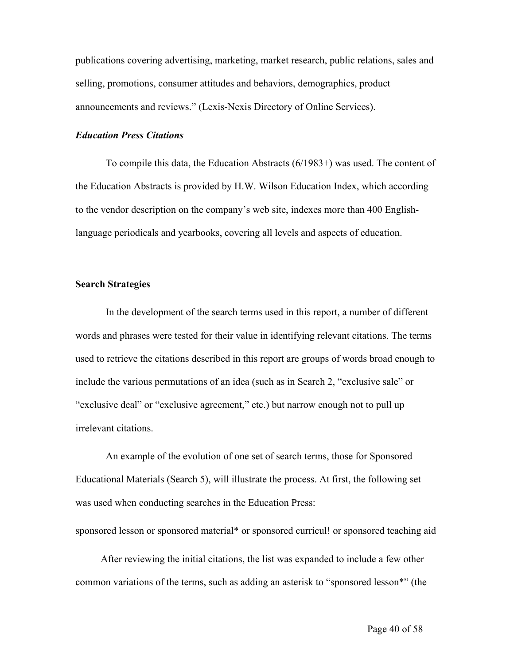publications covering advertising, marketing, market research, public relations, sales and selling, promotions, consumer attitudes and behaviors, demographics, product announcements and reviews." (Lexis-Nexis Directory of Online Services).

## *Education Press Citations*

To compile this data, the Education Abstracts (6/1983+) was used. The content of the Education Abstracts is provided by H.W. Wilson Education Index, which according to the vendor description on the company's web site, indexes more than 400 Englishlanguage periodicals and yearbooks, covering all levels and aspects of education.

## **Search Strategies**

In the development of the search terms used in this report, a number of different words and phrases were tested for their value in identifying relevant citations. The terms used to retrieve the citations described in this report are groups of words broad enough to include the various permutations of an idea (such as in Search 2, "exclusive sale" or "exclusive deal" or "exclusive agreement," etc.) but narrow enough not to pull up irrelevant citations.

An example of the evolution of one set of search terms, those for Sponsored Educational Materials (Search 5), will illustrate the process. At first, the following set was used when conducting searches in the Education Press:

sponsored lesson or sponsored material\* or sponsored curricul! or sponsored teaching aid

 After reviewing the initial citations, the list was expanded to include a few other common variations of the terms, such as adding an asterisk to "sponsored lesson\*" (the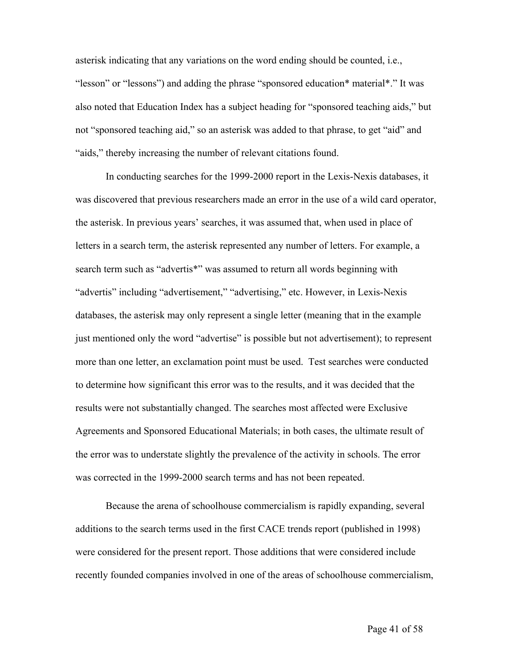asterisk indicating that any variations on the word ending should be counted, i.e., "lesson" or "lessons") and adding the phrase "sponsored education\* material\*." It was also noted that Education Index has a subject heading for "sponsored teaching aids," but not "sponsored teaching aid," so an asterisk was added to that phrase, to get "aid" and "aids," thereby increasing the number of relevant citations found.

In conducting searches for the 1999-2000 report in the Lexis-Nexis databases, it was discovered that previous researchers made an error in the use of a wild card operator, the asterisk. In previous years' searches, it was assumed that, when used in place of letters in a search term, the asterisk represented any number of letters. For example, a search term such as "advertis\*" was assumed to return all words beginning with "advertis" including "advertisement," "advertising," etc. However, in Lexis-Nexis databases, the asterisk may only represent a single letter (meaning that in the example just mentioned only the word "advertise" is possible but not advertisement); to represent more than one letter, an exclamation point must be used. Test searches were conducted to determine how significant this error was to the results, and it was decided that the results were not substantially changed. The searches most affected were Exclusive Agreements and Sponsored Educational Materials; in both cases, the ultimate result of the error was to understate slightly the prevalence of the activity in schools. The error was corrected in the 1999-2000 search terms and has not been repeated.

Because the arena of schoolhouse commercialism is rapidly expanding, several additions to the search terms used in the first CACE trends report (published in 1998) were considered for the present report. Those additions that were considered include recently founded companies involved in one of the areas of schoolhouse commercialism,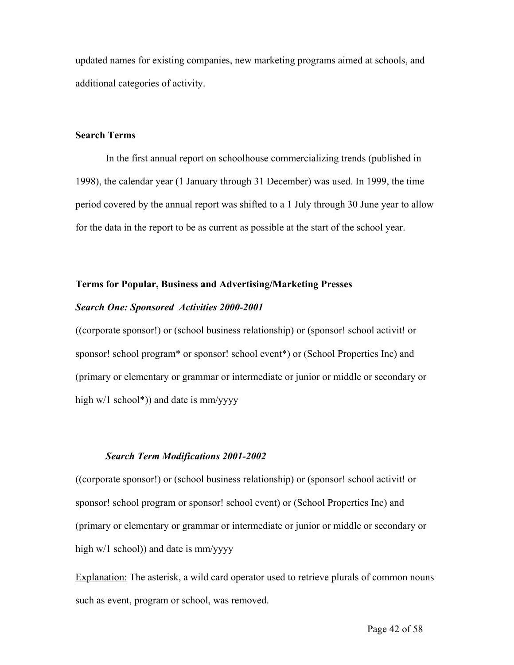updated names for existing companies, new marketing programs aimed at schools, and additional categories of activity.

# **Search Terms**

In the first annual report on schoolhouse commercializing trends (published in 1998), the calendar year (1 January through 31 December) was used. In 1999, the time period covered by the annual report was shifted to a 1 July through 30 June year to allow for the data in the report to be as current as possible at the start of the school year.

# **Terms for Popular, Business and Advertising/Marketing Presses**

## *Search One: Sponsored Activities 2000-2001*

((corporate sponsor!) or (school business relationship) or (sponsor! school activit! or sponsor! school program\* or sponsor! school event\*) or (School Properties Inc) and (primary or elementary or grammar or intermediate or junior or middle or secondary or high  $w/1$  school\*)) and date is mm/yyyy

### *Search Term Modifications 2001-2002*

((corporate sponsor!) or (school business relationship) or (sponsor! school activit! or sponsor! school program or sponsor! school event) or (School Properties Inc) and (primary or elementary or grammar or intermediate or junior or middle or secondary or high w/1 school)) and date is mm/yyyy

Explanation: The asterisk, a wild card operator used to retrieve plurals of common nouns such as event, program or school, was removed.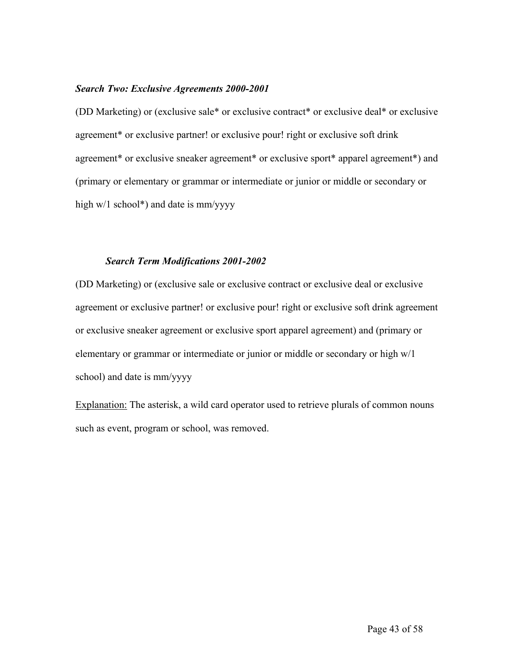### *Search Two: Exclusive Agreements 2000-2001*

(DD Marketing) or (exclusive sale\* or exclusive contract\* or exclusive deal\* or exclusive agreement\* or exclusive partner! or exclusive pour! right or exclusive soft drink agreement\* or exclusive sneaker agreement\* or exclusive sport\* apparel agreement\*) and (primary or elementary or grammar or intermediate or junior or middle or secondary or high  $w/1$  school\*) and date is mm/yyyy

### *Search Term Modifications 2001-2002*

(DD Marketing) or (exclusive sale or exclusive contract or exclusive deal or exclusive agreement or exclusive partner! or exclusive pour! right or exclusive soft drink agreement or exclusive sneaker agreement or exclusive sport apparel agreement) and (primary or elementary or grammar or intermediate or junior or middle or secondary or high w/1 school) and date is mm/yyyy

Explanation: The asterisk, a wild card operator used to retrieve plurals of common nouns such as event, program or school, was removed.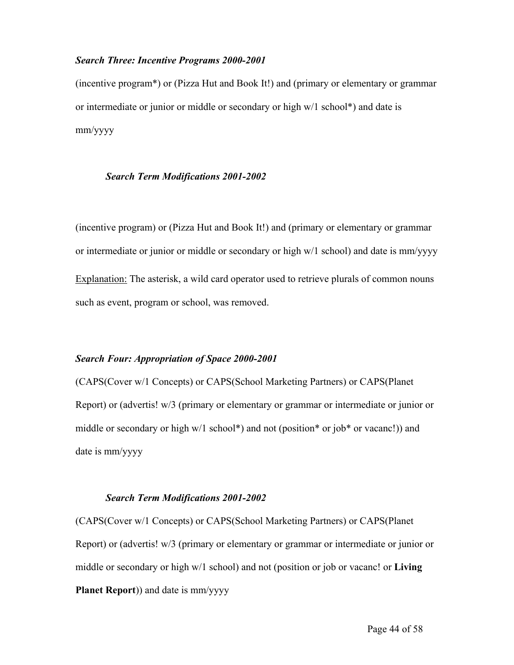### *Search Three: Incentive Programs 2000-2001*

(incentive program\*) or (Pizza Hut and Book It!) and (primary or elementary or grammar or intermediate or junior or middle or secondary or high w/1 school\*) and date is mm/yyyy

### *Search Term Modifications 2001-2002*

(incentive program) or (Pizza Hut and Book It!) and (primary or elementary or grammar or intermediate or junior or middle or secondary or high w/1 school) and date is mm/yyyy Explanation: The asterisk, a wild card operator used to retrieve plurals of common nouns such as event, program or school, was removed.

## *Search Four: Appropriation of Space 2000-2001*

(CAPS(Cover w/1 Concepts) or CAPS(School Marketing Partners) or CAPS(Planet Report) or (advertis! w/3 (primary or elementary or grammar or intermediate or junior or middle or secondary or high w/1 school\*) and not (position\* or job\* or vacanc!)) and date is mm/yyyy

### *Search Term Modifications 2001-2002*

(CAPS(Cover w/1 Concepts) or CAPS(School Marketing Partners) or CAPS(Planet Report) or (advertis! w/3 (primary or elementary or grammar or intermediate or junior or middle or secondary or high w/1 school) and not (position or job or vacanc! or **Living Planet Report**)) and date is mm/yyyy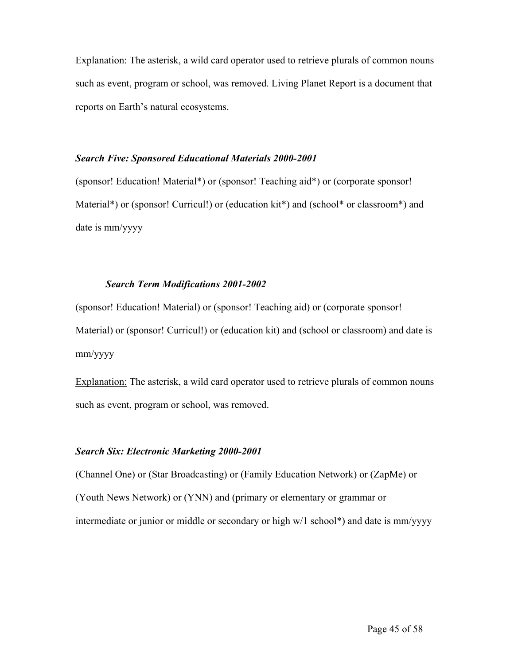Explanation: The asterisk, a wild card operator used to retrieve plurals of common nouns such as event, program or school, was removed. Living Planet Report is a document that reports on Earth's natural ecosystems.

## *Search Five: Sponsored Educational Materials 2000-2001*

(sponsor! Education! Material\*) or (sponsor! Teaching aid\*) or (corporate sponsor! Material\*) or (sponsor! Curricul!) or (education kit\*) and (school\* or classroom\*) and date is mm/yyyy

# *Search Term Modifications 2001-2002*

(sponsor! Education! Material) or (sponsor! Teaching aid) or (corporate sponsor! Material) or (sponsor! Curricul!) or (education kit) and (school or classroom) and date is mm/yyyy

Explanation: The asterisk, a wild card operator used to retrieve plurals of common nouns such as event, program or school, was removed.

# *Search Six: Electronic Marketing 2000-2001*

(Channel One) or (Star Broadcasting) or (Family Education Network) or (ZapMe) or (Youth News Network) or (YNN) and (primary or elementary or grammar or intermediate or junior or middle or secondary or high w/1 school\*) and date is mm/yyyy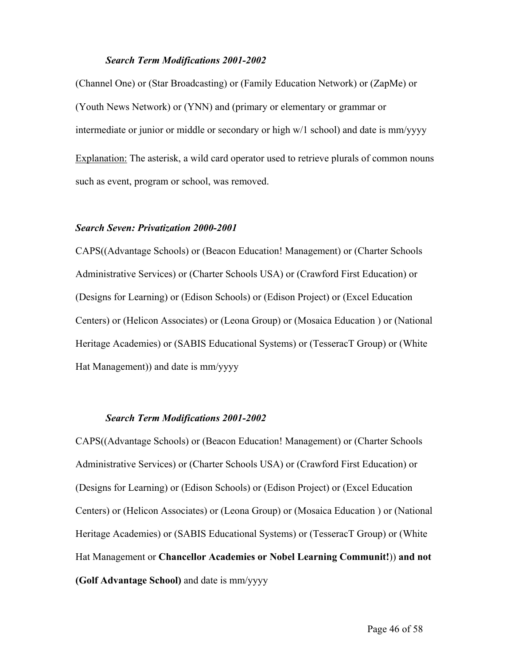### *Search Term Modifications 2001-2002*

(Channel One) or (Star Broadcasting) or (Family Education Network) or (ZapMe) or (Youth News Network) or (YNN) and (primary or elementary or grammar or intermediate or junior or middle or secondary or high w/1 school) and date is mm/yyyy Explanation: The asterisk, a wild card operator used to retrieve plurals of common nouns such as event, program or school, was removed.

## *Search Seven: Privatization 2000-2001*

CAPS((Advantage Schools) or (Beacon Education! Management) or (Charter Schools Administrative Services) or (Charter Schools USA) or (Crawford First Education) or (Designs for Learning) or (Edison Schools) or (Edison Project) or (Excel Education Centers) or (Helicon Associates) or (Leona Group) or (Mosaica Education ) or (National Heritage Academies) or (SABIS Educational Systems) or (TesseracT Group) or (White Hat Management)) and date is mm/yyyy

### *Search Term Modifications 2001-2002*

CAPS((Advantage Schools) or (Beacon Education! Management) or (Charter Schools Administrative Services) or (Charter Schools USA) or (Crawford First Education) or (Designs for Learning) or (Edison Schools) or (Edison Project) or (Excel Education Centers) or (Helicon Associates) or (Leona Group) or (Mosaica Education ) or (National Heritage Academies) or (SABIS Educational Systems) or (TesseracT Group) or (White Hat Management or **Chancellor Academies or Nobel Learning Communit!**)) **and not (Golf Advantage School)** and date is mm/yyyy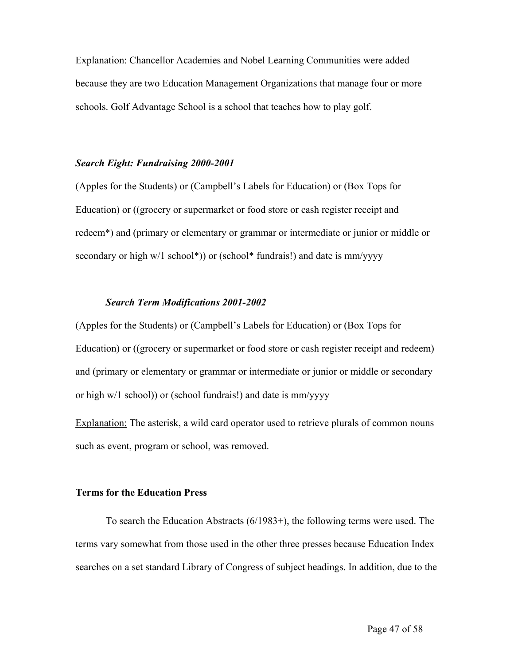Explanation: Chancellor Academies and Nobel Learning Communities were added because they are two Education Management Organizations that manage four or more schools. Golf Advantage School is a school that teaches how to play golf.

## *Search Eight: Fundraising 2000-2001*

(Apples for the Students) or (Campbell's Labels for Education) or (Box Tops for Education) or ((grocery or supermarket or food store or cash register receipt and redeem\*) and (primary or elementary or grammar or intermediate or junior or middle or secondary or high w/1 school\*)) or (school\* fundrais!) and date is mm/yyyy

## *Search Term Modifications 2001-2002*

(Apples for the Students) or (Campbell's Labels for Education) or (Box Tops for Education) or ((grocery or supermarket or food store or cash register receipt and redeem) and (primary or elementary or grammar or intermediate or junior or middle or secondary or high w/1 school)) or (school fundrais!) and date is mm/yyyy

Explanation: The asterisk, a wild card operator used to retrieve plurals of common nouns such as event, program or school, was removed.

## **Terms for the Education Press**

To search the Education Abstracts (6/1983+), the following terms were used. The terms vary somewhat from those used in the other three presses because Education Index searches on a set standard Library of Congress of subject headings. In addition, due to the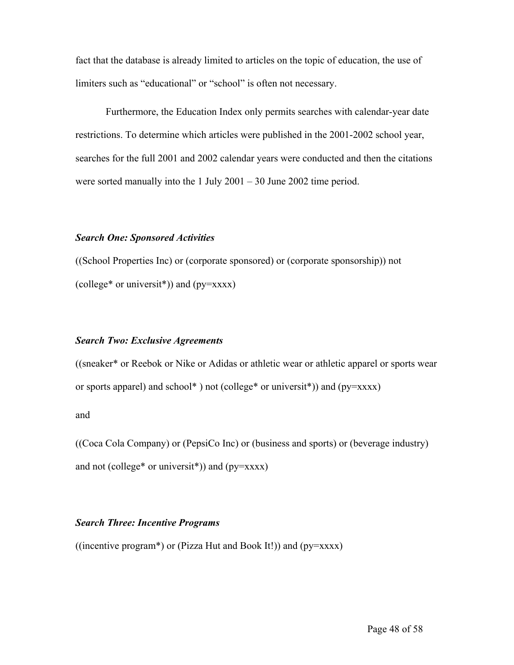fact that the database is already limited to articles on the topic of education, the use of limiters such as "educational" or "school" is often not necessary.

Furthermore, the Education Index only permits searches with calendar-year date restrictions. To determine which articles were published in the 2001-2002 school year, searches for the full 2001 and 2002 calendar years were conducted and then the citations were sorted manually into the 1 July 2001 – 30 June 2002 time period.

# *Search One: Sponsored Activities*

((School Properties Inc) or (corporate sponsored) or (corporate sponsorship)) not (college\* or universit\*)) and  $(py=xxxx)$ 

# *Search Two: Exclusive Agreements*

((sneaker\* or Reebok or Nike or Adidas or athletic wear or athletic apparel or sports wear or sports apparel) and school\* ) not (college\* or universit\*)) and ( $py=xxxx$ )

and

((Coca Cola Company) or (PepsiCo Inc) or (business and sports) or (beverage industry) and not (college\* or universit\*)) and (py=xxxx)

# *Search Three: Incentive Programs*

((incentive program\*) or (Pizza Hut and Book It!)) and  $(py=xxxx)$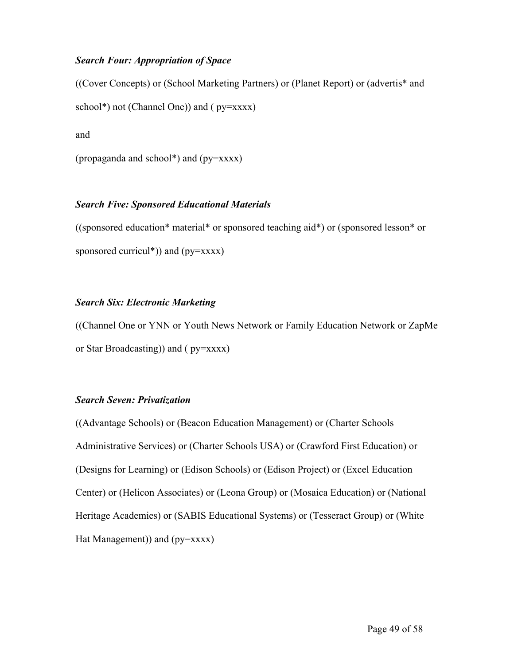# *Search Four: Appropriation of Space*

((Cover Concepts) or (School Marketing Partners) or (Planet Report) or (advertis\* and school\*) not (Channel One)) and ( py=xxxx)

and

```
(propaganda and school*) and (py=xxxx)
```
# *Search Five: Sponsored Educational Materials*

((sponsored education\* material\* or sponsored teaching aid\*) or (sponsored lesson\* or sponsored curricul\*)) and (py=xxxx)

# *Search Six: Electronic Marketing*

((Channel One or YNN or Youth News Network or Family Education Network or ZapMe or Star Broadcasting)) and ( py=xxxx)

# *Search Seven: Privatization*

((Advantage Schools) or (Beacon Education Management) or (Charter Schools Administrative Services) or (Charter Schools USA) or (Crawford First Education) or (Designs for Learning) or (Edison Schools) or (Edison Project) or (Excel Education Center) or (Helicon Associates) or (Leona Group) or (Mosaica Education) or (National Heritage Academies) or (SABIS Educational Systems) or (Tesseract Group) or (White Hat Management)) and (py=xxxx)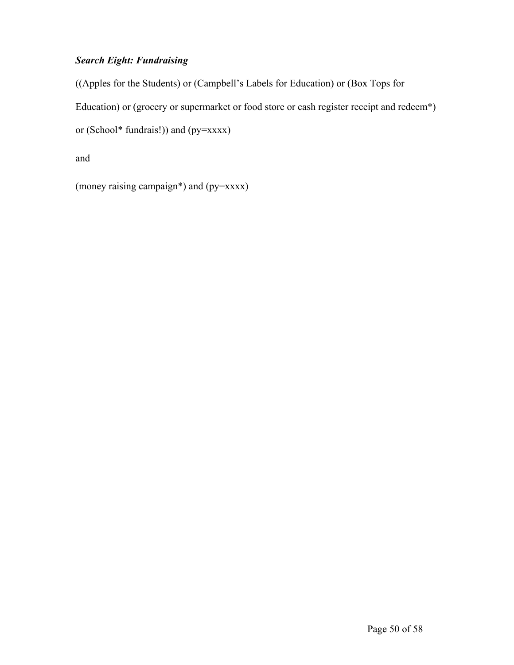# *Search Eight: Fundraising*

((Apples for the Students) or (Campbell's Labels for Education) or (Box Tops for

Education) or (grocery or supermarket or food store or cash register receipt and redeem\*)

or (School\* fundrais!)) and (py=xxxx)

and

(money raising campaign\*) and (py=xxxx)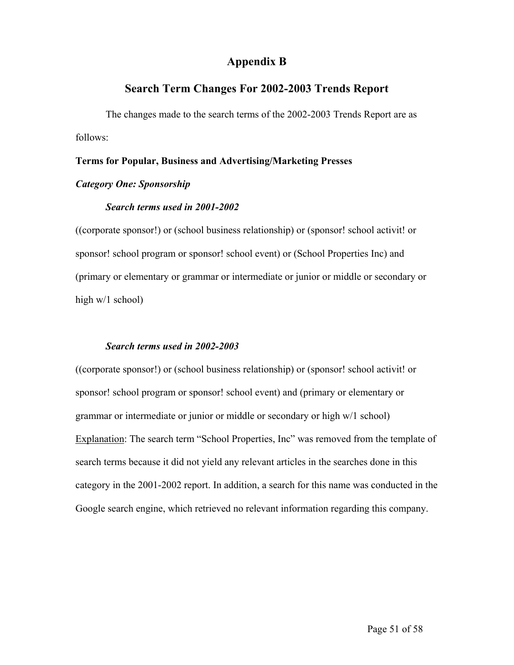# **Appendix B**

# **Search Term Changes For 2002-2003 Trends Report**

The changes made to the search terms of the 2002-2003 Trends Report are as follows:

# **Terms for Popular, Business and Advertising/Marketing Presses**

# *Category One: Sponsorship*

# *Search terms used in 2001-2002*

((corporate sponsor!) or (school business relationship) or (sponsor! school activit! or sponsor! school program or sponsor! school event) or (School Properties Inc) and (primary or elementary or grammar or intermediate or junior or middle or secondary or high w/1 school)

# *Search terms used in 2002-2003*

((corporate sponsor!) or (school business relationship) or (sponsor! school activit! or sponsor! school program or sponsor! school event) and (primary or elementary or grammar or intermediate or junior or middle or secondary or high w/1 school) Explanation: The search term "School Properties, Inc" was removed from the template of search terms because it did not yield any relevant articles in the searches done in this category in the 2001-2002 report. In addition, a search for this name was conducted in the Google search engine, which retrieved no relevant information regarding this company.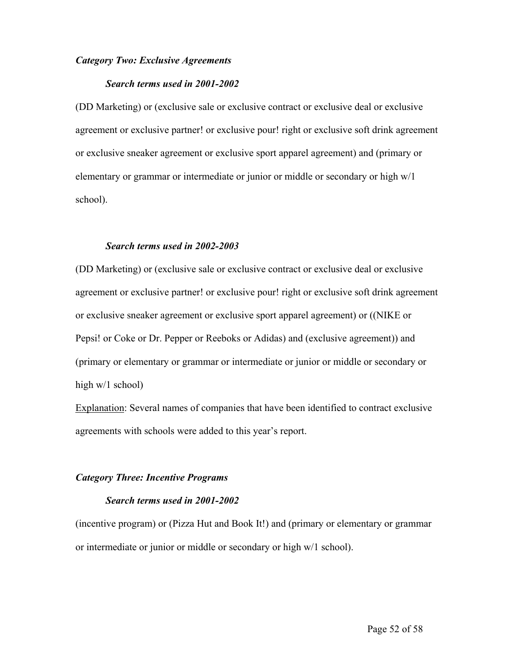## *Category Two: Exclusive Agreements*

# *Search terms used in 2001-2002*

(DD Marketing) or (exclusive sale or exclusive contract or exclusive deal or exclusive agreement or exclusive partner! or exclusive pour! right or exclusive soft drink agreement or exclusive sneaker agreement or exclusive sport apparel agreement) and (primary or elementary or grammar or intermediate or junior or middle or secondary or high w/1 school).

#### *Search terms used in 2002-2003*

(DD Marketing) or (exclusive sale or exclusive contract or exclusive deal or exclusive agreement or exclusive partner! or exclusive pour! right or exclusive soft drink agreement or exclusive sneaker agreement or exclusive sport apparel agreement) or ((NIKE or Pepsi! or Coke or Dr. Pepper or Reeboks or Adidas) and (exclusive agreement)) and (primary or elementary or grammar or intermediate or junior or middle or secondary or high w/1 school)

Explanation: Several names of companies that have been identified to contract exclusive agreements with schools were added to this year's report.

## *Category Three: Incentive Programs*

# *Search terms used in 2001-2002*

(incentive program) or (Pizza Hut and Book It!) and (primary or elementary or grammar or intermediate or junior or middle or secondary or high w/1 school).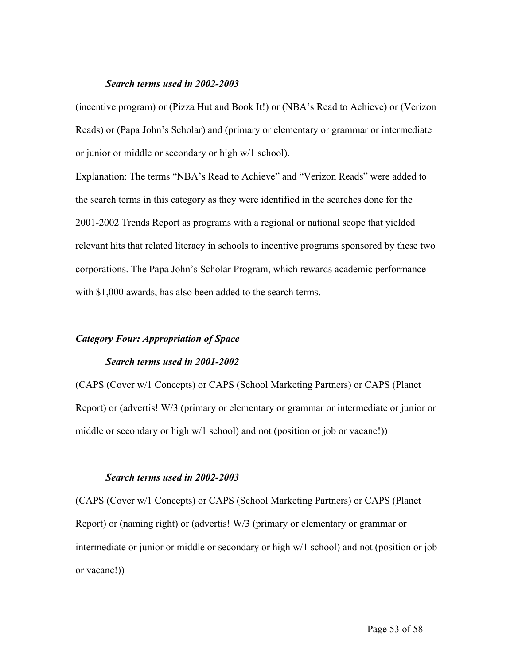#### *Search terms used in 2002-2003*

(incentive program) or (Pizza Hut and Book It!) or (NBA's Read to Achieve) or (Verizon Reads) or (Papa John's Scholar) and (primary or elementary or grammar or intermediate or junior or middle or secondary or high w/1 school).

Explanation: The terms "NBA's Read to Achieve" and "Verizon Reads" were added to the search terms in this category as they were identified in the searches done for the 2001-2002 Trends Report as programs with a regional or national scope that yielded relevant hits that related literacy in schools to incentive programs sponsored by these two corporations. The Papa John's Scholar Program, which rewards academic performance with \$1,000 awards, has also been added to the search terms.

## *Category Four: Appropriation of Space*

# *Search terms used in 2001-2002*

(CAPS (Cover w/1 Concepts) or CAPS (School Marketing Partners) or CAPS (Planet Report) or (advertis! W/3 (primary or elementary or grammar or intermediate or junior or middle or secondary or high w/1 school) and not (position or job or vacanc!))

# *Search terms used in 2002-2003*

(CAPS (Cover w/1 Concepts) or CAPS (School Marketing Partners) or CAPS (Planet Report) or (naming right) or (advertis! W/3 (primary or elementary or grammar or intermediate or junior or middle or secondary or high w/1 school) and not (position or job or vacanc!))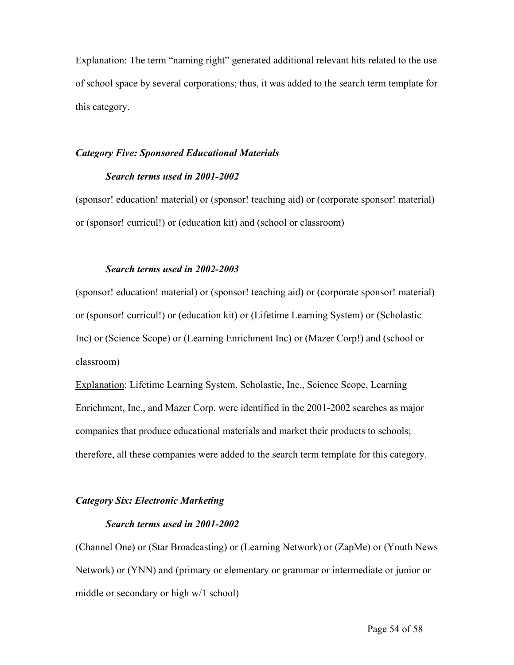Explanation: The term "naming right" generated additional relevant hits related to the use of school space by several corporations; thus, it was added to the search term template for this category.

### *Category Five: Sponsored Educational Materials*

## *Search terms used in 2001-2002*

(sponsor! education! material) or (sponsor! teaching aid) or (corporate sponsor! material) or (sponsor! curricul!) or (education kit) and (school or classroom)

### *Search terms used in 2002-2003*

(sponsor! education! material) or (sponsor! teaching aid) or (corporate sponsor! material) or (sponsor! curricul!) or (education kit) or (Lifetime Learning System) or (Scholastic Inc) or (Science Scope) or (Learning Enrichment Inc) or (Mazer Corp!) and (school or classroom)

Explanation: Lifetime Learning System, Scholastic, Inc., Science Scope, Learning Enrichment, Inc., and Mazer Corp. were identified in the 2001-2002 searches as major companies that produce educational materials and market their products to schools; therefore, all these companies were added to the search term template for this category.

## *Category Six: Electronic Marketing*

## *Search terms used in 2001-2002*

(Channel One) or (Star Broadcasting) or (Learning Network) or (ZapMe) or (Youth News Network) or (YNN) and (primary or elementary or grammar or intermediate or junior or middle or secondary or high w/1 school)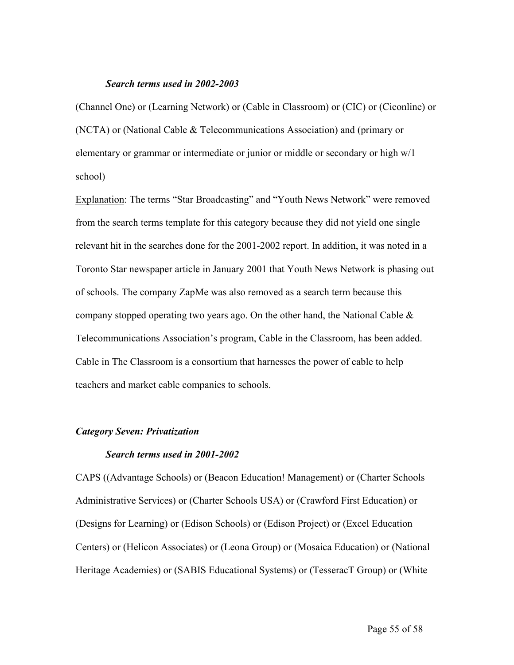### *Search terms used in 2002-2003*

(Channel One) or (Learning Network) or (Cable in Classroom) or (CIC) or (Ciconline) or (NCTA) or (National Cable & Telecommunications Association) and (primary or elementary or grammar or intermediate or junior or middle or secondary or high w/1 school)

Explanation: The terms "Star Broadcasting" and "Youth News Network" were removed from the search terms template for this category because they did not yield one single relevant hit in the searches done for the 2001-2002 report. In addition, it was noted in a Toronto Star newspaper article in January 2001 that Youth News Network is phasing out of schools. The company ZapMe was also removed as a search term because this company stopped operating two years ago. On the other hand, the National Cable  $\&$ Telecommunications Association's program, Cable in the Classroom, has been added. Cable in The Classroom is a consortium that harnesses the power of cable to help teachers and market cable companies to schools.

## *Category Seven: Privatization*

### *Search terms used in 2001-2002*

CAPS ((Advantage Schools) or (Beacon Education! Management) or (Charter Schools Administrative Services) or (Charter Schools USA) or (Crawford First Education) or (Designs for Learning) or (Edison Schools) or (Edison Project) or (Excel Education Centers) or (Helicon Associates) or (Leona Group) or (Mosaica Education) or (National Heritage Academies) or (SABIS Educational Systems) or (TesseracT Group) or (White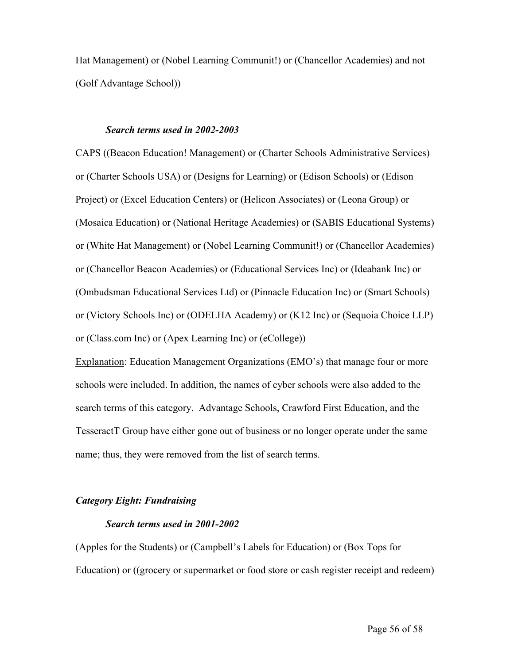Hat Management) or (Nobel Learning Communit!) or (Chancellor Academies) and not (Golf Advantage School))

# *Search terms used in 2002-2003*

CAPS ((Beacon Education! Management) or (Charter Schools Administrative Services) or (Charter Schools USA) or (Designs for Learning) or (Edison Schools) or (Edison Project) or (Excel Education Centers) or (Helicon Associates) or (Leona Group) or (Mosaica Education) or (National Heritage Academies) or (SABIS Educational Systems) or (White Hat Management) or (Nobel Learning Communit!) or (Chancellor Academies) or (Chancellor Beacon Academies) or (Educational Services Inc) or (Ideabank Inc) or (Ombudsman Educational Services Ltd) or (Pinnacle Education Inc) or (Smart Schools) or (Victory Schools Inc) or (ODELHA Academy) or (K12 Inc) or (Sequoia Choice LLP) or (Class.com Inc) or (Apex Learning Inc) or (eCollege))

Explanation: Education Management Organizations (EMO's) that manage four or more schools were included. In addition, the names of cyber schools were also added to the search terms of this category. Advantage Schools, Crawford First Education, and the TesseractT Group have either gone out of business or no longer operate under the same name; thus, they were removed from the list of search terms.

# *Category Eight: Fundraising*

## *Search terms used in 2001-2002*

(Apples for the Students) or (Campbell's Labels for Education) or (Box Tops for Education) or ((grocery or supermarket or food store or cash register receipt and redeem)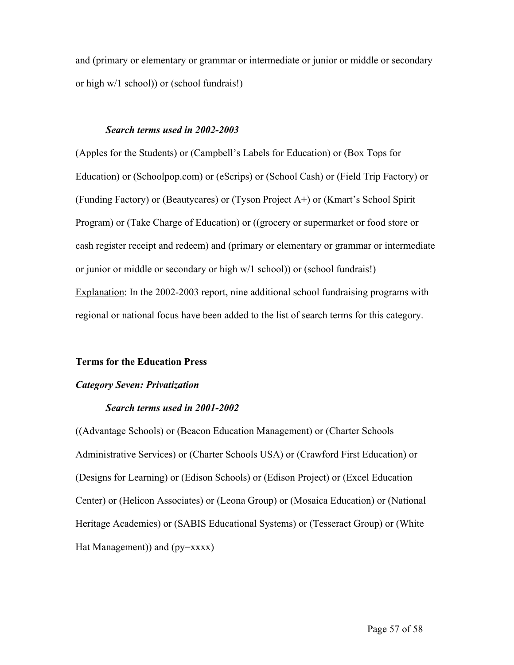and (primary or elementary or grammar or intermediate or junior or middle or secondary or high w/1 school)) or (school fundrais!)

# *Search terms used in 2002-2003*

(Apples for the Students) or (Campbell's Labels for Education) or (Box Tops for Education) or (Schoolpop.com) or (eScrips) or (School Cash) or (Field Trip Factory) or (Funding Factory) or (Beautycares) or (Tyson Project A+) or (Kmart's School Spirit Program) or (Take Charge of Education) or ((grocery or supermarket or food store or cash register receipt and redeem) and (primary or elementary or grammar or intermediate or junior or middle or secondary or high w/1 school)) or (school fundrais!) Explanation: In the 2002-2003 report, nine additional school fundraising programs with regional or national focus have been added to the list of search terms for this category.

# **Terms for the Education Press**

## *Category Seven: Privatization*

### *Search terms used in 2001-2002*

((Advantage Schools) or (Beacon Education Management) or (Charter Schools Administrative Services) or (Charter Schools USA) or (Crawford First Education) or (Designs for Learning) or (Edison Schools) or (Edison Project) or (Excel Education Center) or (Helicon Associates) or (Leona Group) or (Mosaica Education) or (National Heritage Academies) or (SABIS Educational Systems) or (Tesseract Group) or (White Hat Management)) and (py=xxxx)